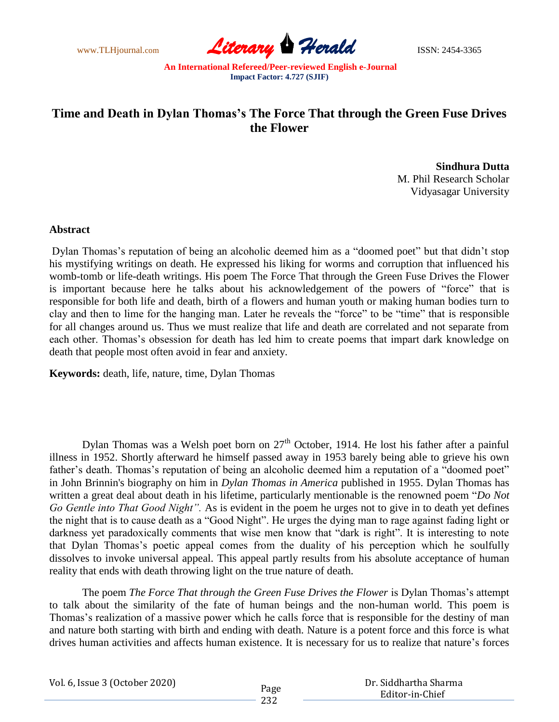www.TLHjournal.com **Literary Herald Herald ISSN: 2454-3365** 

## **Time and Death in Dylan Thomas's The Force That through the Green Fuse Drives the Flower**

**Sindhura Dutta** M. Phil Research Scholar Vidyasagar University

## **Abstract**

Dylan Thomas's reputation of being an alcoholic deemed him as a "doomed poet" but that didn't stop his mystifying writings on death. He expressed his liking for worms and corruption that influenced his womb-tomb or life-death writings. His poem The Force That through the Green Fuse Drives the Flower is important because here he talks about his acknowledgement of the powers of "force" that is responsible for both life and death, birth of a flowers and human youth or making human bodies turn to clay and then to lime for the hanging man. Later he reveals the "force" to be "time" that is responsible for all changes around us. Thus we must realize that life and death are correlated and not separate from each other. Thomas's obsession for death has led him to create poems that impart dark knowledge on death that people most often avoid in fear and anxiety.

**Keywords:** death, life, nature, time, Dylan Thomas

Dylan Thomas was a Welsh poet born on  $27<sup>th</sup>$  October, 1914. He lost his father after a painful illness in 1952. Shortly afterward he himself passed away in 1953 barely being able to grieve his own father's death. Thomas's reputation of being an alcoholic deemed him a reputation of a "doomed poet" in John Brinnin's biography on him in *Dylan Thomas in America* published in 1955. Dylan Thomas has written a great deal about death in his lifetime, particularly mentionable is the renowned poem "*Do Not Go Gentle into That Good Night".* As is evident in the poem he urges not to give in to death yet defines the night that is to cause death as a "Good Night". He urges the dying man to rage against fading light or darkness yet paradoxically comments that wise men know that "dark is right". It is interesting to note that Dylan Thomas's poetic appeal comes from the duality of his perception which he soulfully dissolves to invoke universal appeal. This appeal partly results from his absolute acceptance of human reality that ends with death throwing light on the true nature of death.

The poem *The Force That through the Green Fuse Drives the Flower* is Dylan Thomas's attempt to talk about the similarity of the fate of human beings and the non-human world. This poem is Thomas's realization of a massive power which he calls force that is responsible for the destiny of man and nature both starting with birth and ending with death. Nature is a potent force and this force is what drives human activities and affects human existence. It is necessary for us to realize that nature's forces

| Vol. 6, Issue 3 (October 2020) |      | Dr. Siddhartha Sharma |
|--------------------------------|------|-----------------------|
|                                | Page | Editor-in-Chief       |
|                                | 232  |                       |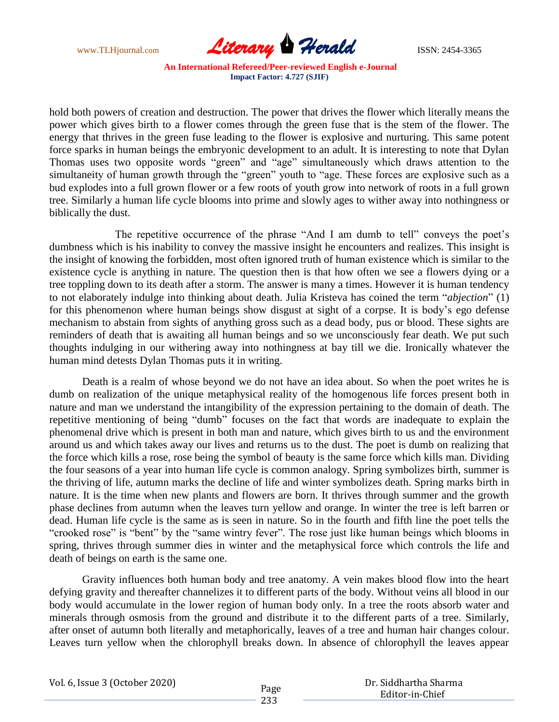

hold both powers of creation and destruction. The power that drives the flower which literally means the power which gives birth to a flower comes through the green fuse that is the stem of the flower. The energy that thrives in the green fuse leading to the flower is explosive and nurturing. This same potent force sparks in human beings the embryonic development to an adult. It is interesting to note that Dylan Thomas uses two opposite words "green" and "age" simultaneously which draws attention to the simultaneity of human growth through the "green" youth to "age. These forces are explosive such as a bud explodes into a full grown flower or a few roots of youth grow into network of roots in a full grown tree. Similarly a human life cycle blooms into prime and slowly ages to wither away into nothingness or biblically the dust.

The repetitive occurrence of the phrase "And I am dumb to tell" conveys the poet's dumbness which is his inability to convey the massive insight he encounters and realizes. This insight is the insight of knowing the forbidden, most often ignored truth of human existence which is similar to the existence cycle is anything in nature. The question then is that how often we see a flowers dying or a tree toppling down to its death after a storm. The answer is many a times. However it is human tendency to not elaborately indulge into thinking about death. Julia Kristeva has coined the term "*abjection*" (1) for this phenomenon where human beings show disgust at sight of a corpse. It is body's ego defense mechanism to abstain from sights of anything gross such as a dead body, pus or blood. These sights are reminders of death that is awaiting all human beings and so we unconsciously fear death. We put such thoughts indulging in our withering away into nothingness at bay till we die. Ironically whatever the human mind detests Dylan Thomas puts it in writing.

Death is a realm of whose beyond we do not have an idea about. So when the poet writes he is dumb on realization of the unique metaphysical reality of the homogenous life forces present both in nature and man we understand the intangibility of the expression pertaining to the domain of death. The repetitive mentioning of being "dumb" focuses on the fact that words are inadequate to explain the phenomenal drive which is present in both man and nature, which gives birth to us and the environment around us and which takes away our lives and returns us to the dust. The poet is dumb on realizing that the force which kills a rose, rose being the symbol of beauty is the same force which kills man. Dividing the four seasons of a year into human life cycle is common analogy. Spring symbolizes birth, summer is the thriving of life, autumn marks the decline of life and winter symbolizes death. Spring marks birth in nature. It is the time when new plants and flowers are born. It thrives through summer and the growth phase declines from autumn when the leaves turn yellow and orange. In winter the tree is left barren or dead. Human life cycle is the same as is seen in nature. So in the fourth and fifth line the poet tells the "crooked rose" is "bent" by the "same wintry fever". The rose just like human beings which blooms in spring, thrives through summer dies in winter and the metaphysical force which controls the life and death of beings on earth is the same one.

Gravity influences both human body and tree anatomy. A vein makes blood flow into the heart defying gravity and thereafter channelizes it to different parts of the body. Without veins all blood in our body would accumulate in the lower region of human body only. In a tree the roots absorb water and minerals through osmosis from the ground and distribute it to the different parts of a tree. Similarly, after onset of autumn both literally and metaphorically, leaves of a tree and human hair changes colour. Leaves turn yellow when the chlorophyll breaks down. In absence of chlorophyll the leaves appear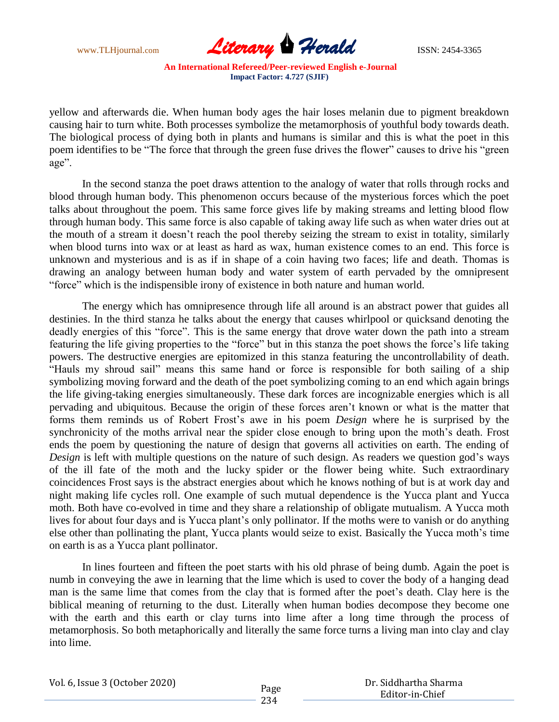

yellow and afterwards die. When human body ages the hair loses melanin due to pigment breakdown causing hair to turn white. Both processes symbolize the metamorphosis of youthful body towards death. The biological process of dying both in plants and humans is similar and this is what the poet in this poem identifies to be "The force that through the green fuse drives the flower" causes to drive his "green age".

In the second stanza the poet draws attention to the analogy of water that rolls through rocks and blood through human body. This phenomenon occurs because of the mysterious forces which the poet talks about throughout the poem. This same force gives life by making streams and letting blood flow through human body. This same force is also capable of taking away life such as when water dries out at the mouth of a stream it doesn't reach the pool thereby seizing the stream to exist in totality, similarly when blood turns into wax or at least as hard as wax, human existence comes to an end. This force is unknown and mysterious and is as if in shape of a coin having two faces; life and death. Thomas is drawing an analogy between human body and water system of earth pervaded by the omnipresent "force" which is the indispensible irony of existence in both nature and human world.

The energy which has omnipresence through life all around is an abstract power that guides all destinies. In the third stanza he talks about the energy that causes whirlpool or quicksand denoting the deadly energies of this "force". This is the same energy that drove water down the path into a stream featuring the life giving properties to the "force" but in this stanza the poet shows the force's life taking powers. The destructive energies are epitomized in this stanza featuring the uncontrollability of death. "Hauls my shroud sail" means this same hand or force is responsible for both sailing of a ship symbolizing moving forward and the death of the poet symbolizing coming to an end which again brings the life giving-taking energies simultaneously. These dark forces are incognizable energies which is all pervading and ubiquitous. Because the origin of these forces aren't known or what is the matter that forms them reminds us of Robert Frost's awe in his poem *Design* where he is surprised by the synchronicity of the moths arrival near the spider close enough to bring upon the moth's death. Frost ends the poem by questioning the nature of design that governs all activities on earth. The ending of *Design* is left with multiple questions on the nature of such design. As readers we question god's ways of the ill fate of the moth and the lucky spider or the flower being white. Such extraordinary coincidences Frost says is the abstract energies about which he knows nothing of but is at work day and night making life cycles roll. One example of such mutual dependence is the Yucca plant and Yucca moth. Both have co-evolved in time and they share a relationship of obligate mutualism. A Yucca moth lives for about four days and is Yucca plant's only pollinator. If the moths were to vanish or do anything else other than pollinating the plant, Yucca plants would seize to exist. Basically the Yucca moth's time on earth is as a Yucca plant pollinator.

In lines fourteen and fifteen the poet starts with his old phrase of being dumb. Again the poet is numb in conveying the awe in learning that the lime which is used to cover the body of a hanging dead man is the same lime that comes from the clay that is formed after the poet's death. Clay here is the biblical meaning of returning to the dust. Literally when human bodies decompose they become one with the earth and this earth or clay turns into lime after a long time through the process of metamorphosis. So both metaphorically and literally the same force turns a living man into clay and clay into lime.

|  | Vol. 6, Issue 3 (October 2020) |
|--|--------------------------------|
|--|--------------------------------|

| Dr. Siddhartha Sharma |
|-----------------------|
| Editor-in-Chief       |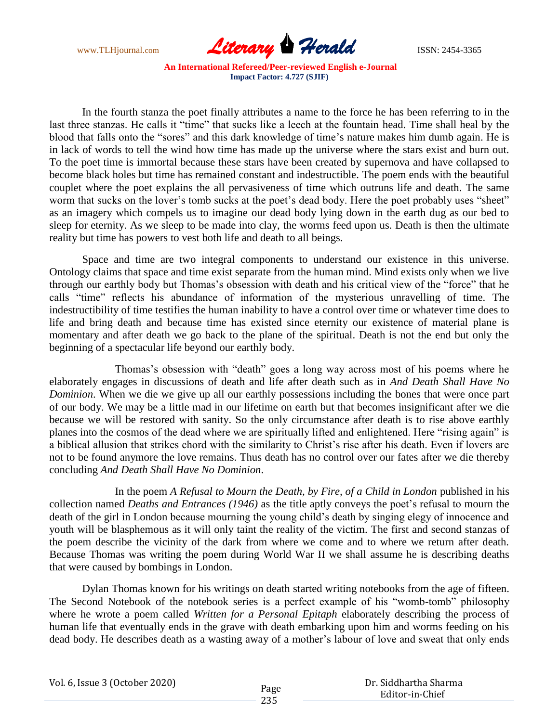www.TLHjournal.com **Literary Herald Herald ISSN: 2454-3365** 

In the fourth stanza the poet finally attributes a name to the force he has been referring to in the last three stanzas. He calls it "time" that sucks like a leech at the fountain head. Time shall heal by the blood that falls onto the "sores" and this dark knowledge of time's nature makes him dumb again. He is in lack of words to tell the wind how time has made up the universe where the stars exist and burn out. To the poet time is immortal because these stars have been created by supernova and have collapsed to become black holes but time has remained constant and indestructible. The poem ends with the beautiful couplet where the poet explains the all pervasiveness of time which outruns life and death. The same worm that sucks on the lover's tomb sucks at the poet's dead body. Here the poet probably uses "sheet" as an imagery which compels us to imagine our dead body lying down in the earth dug as our bed to sleep for eternity. As we sleep to be made into clay, the worms feed upon us. Death is then the ultimate reality but time has powers to vest both life and death to all beings.

Space and time are two integral components to understand our existence in this universe. Ontology claims that space and time exist separate from the human mind. Mind exists only when we live through our earthly body but Thomas's obsession with death and his critical view of the "force" that he calls "time" reflects his abundance of information of the mysterious unravelling of time. The indestructibility of time testifies the human inability to have a control over time or whatever time does to life and bring death and because time has existed since eternity our existence of material plane is momentary and after death we go back to the plane of the spiritual. Death is not the end but only the beginning of a spectacular life beyond our earthly body.

Thomas's obsession with "death" goes a long way across most of his poems where he elaborately engages in discussions of death and life after death such as in *And Death Shall Have No Dominion*. When we die we give up all our earthly possessions including the bones that were once part of our body. We may be a little mad in our lifetime on earth but that becomes insignificant after we die because we will be restored with sanity. So the only circumstance after death is to rise above earthly planes into the cosmos of the dead where we are spiritually lifted and enlightened. Here "rising again" is a biblical allusion that strikes chord with the similarity to Christ's rise after his death. Even if lovers are not to be found anymore the love remains. Thus death has no control over our fates after we die thereby concluding *And Death Shall Have No Dominion*.

In the poem *A Refusal to Mourn the Death, by Fire, of a Child in London* published in his collection named *Deaths and Entrances (1946)* as the title aptly conveys the poet's refusal to mourn the death of the girl in London because mourning the young child's death by singing elegy of innocence and youth will be blasphemous as it will only taint the reality of the victim. The first and second stanzas of the poem describe the vicinity of the dark from where we come and to where we return after death. Because Thomas was writing the poem during World War II we shall assume he is describing deaths that were caused by bombings in London.

Dylan Thomas known for his writings on death started writing notebooks from the age of fifteen. The Second Notebook of the notebook series is a perfect example of his "womb-tomb" philosophy where he wrote a poem called *Written for a Personal Epitaph* elaborately describing the process of human life that eventually ends in the grave with death embarking upon him and worms feeding on his dead body. He describes death as a wasting away of a mother's labour of love and sweat that only ends

Vol. 6, Issue 3 (October 2020)

 Dr. Siddhartha Sharma Editor-in-Chief